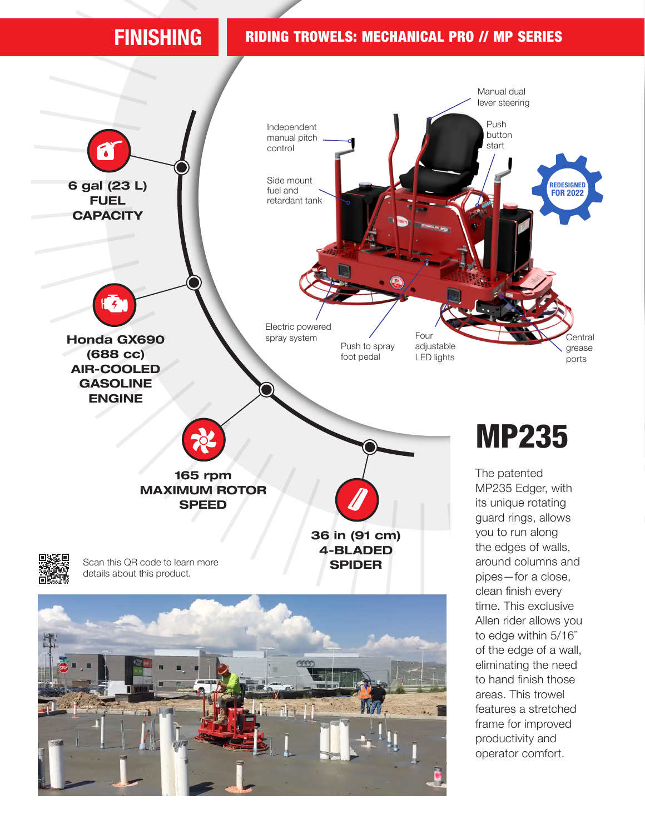## FINISHING RIDING TROWELS: MECHANICAL PRO // MP SERIES

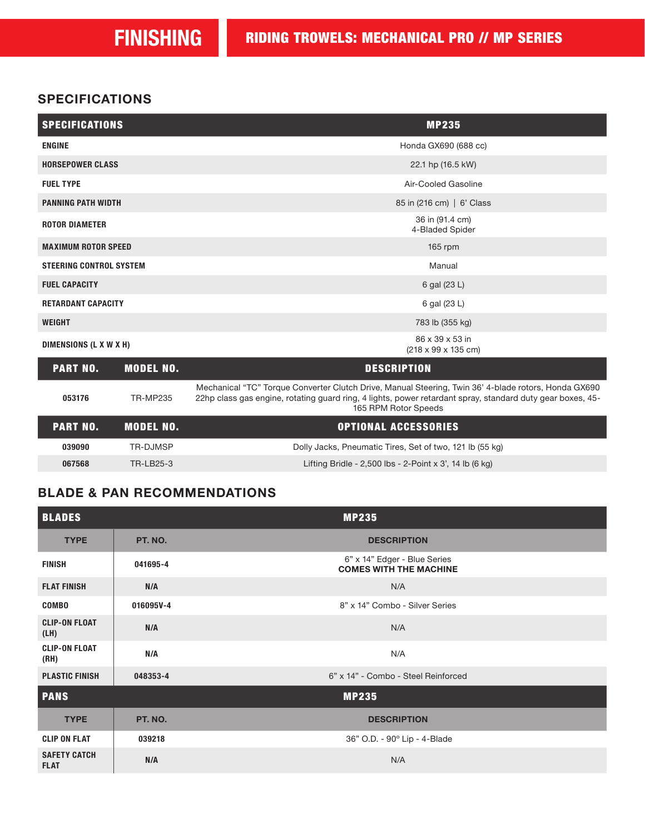### **SPECIFICATIONS**

| <b>SPECIFICATIONS</b>               | <b>MP235</b>                                               |
|-------------------------------------|------------------------------------------------------------|
| <b>ENGINE</b>                       | Honda GX690 (688 cc)                                       |
| <b>HORSEPOWER CLASS</b>             | 22.1 hp (16.5 kW)                                          |
| <b>FUEL TYPE</b>                    | Air-Cooled Gasoline                                        |
| <b>PANNING PATH WIDTH</b>           | 85 in (216 cm)   6' Class                                  |
| <b>ROTOR DIAMETER</b>               | 36 in (91.4 cm)<br>4-Bladed Spider                         |
| <b>MAXIMUM ROTOR SPEED</b>          | 165 $rpm$                                                  |
| <b>STEERING CONTROL SYSTEM</b>      | Manual                                                     |
| <b>FUEL CAPACITY</b>                | 6 gal (23 L)                                               |
| <b>RETARDANT CAPACITY</b>           | 6 gal (23 L)                                               |
| <b>WEIGHT</b>                       | 783 lb (355 kg)                                            |
| DIMENSIONS (L X W X H)              | 86 x 39 x 53 in<br>$(218 \times 99 \times 135 \text{ cm})$ |
| <b>PART NO.</b><br><b>MODEL NO.</b> | <b>DESCRIPTION</b>                                         |

| 053176          | TR-MP235         | Mechanical "TC" Torque Converter Clutch Drive, Manual Steering, Twin 36' 4-blade rotors, Honda GX690<br>22hp class gas engine, rotating guard ring, 4 lights, power retardant spray, standard duty gear boxes, 45-<br>165 RPM Rotor Speeds |
|-----------------|------------------|--------------------------------------------------------------------------------------------------------------------------------------------------------------------------------------------------------------------------------------------|
| <b>PART NO.</b> | <b>MODEL NO.</b> | <b>OPTIONAL ACCESSORIES</b>                                                                                                                                                                                                                |
| 039090          | TR-DJMSP         | Dolly Jacks, Pneumatic Tires, Set of two, 121 lb (55 kg)                                                                                                                                                                                   |
| 067568          | TR-LB25-3        | Lifting Bridle - 2,500 lbs - 2-Point x 3', 14 lb $(6 \text{ kg})$                                                                                                                                                                          |

### BLADE & PAN RECOMMENDATIONS

| <b>BLADES</b>                      |           | <b>MP235</b>                                                  |
|------------------------------------|-----------|---------------------------------------------------------------|
| <b>TYPE</b>                        | PT. NO.   | <b>DESCRIPTION</b>                                            |
| <b>FINISH</b>                      | 041695-4  | 6" x 14" Edger - Blue Series<br><b>COMES WITH THE MACHINE</b> |
| <b>FLAT FINISH</b>                 | N/A       | N/A                                                           |
| <b>COMBO</b>                       | 016095V-4 | 8" x 14" Combo - Silver Series                                |
| <b>CLIP-ON FLOAT</b><br>(LH)       | N/A       | N/A                                                           |
| <b>CLIP-ON FLOAT</b><br>(RH)       | N/A       | N/A                                                           |
| <b>PLASTIC FINISH</b>              | 048353-4  | 6" x 14" - Combo - Steel Reinforced                           |
| <b>PANS</b>                        |           | <b>MP235</b>                                                  |
| <b>TYPE</b>                        | PT. NO.   | <b>DESCRIPTION</b>                                            |
| <b>CLIP ON FLAT</b>                | 039218    | 36" O.D. - 90° Lip - 4-Blade                                  |
| <b>SAFETY CATCH</b><br><b>FLAT</b> | N/A       | N/A                                                           |